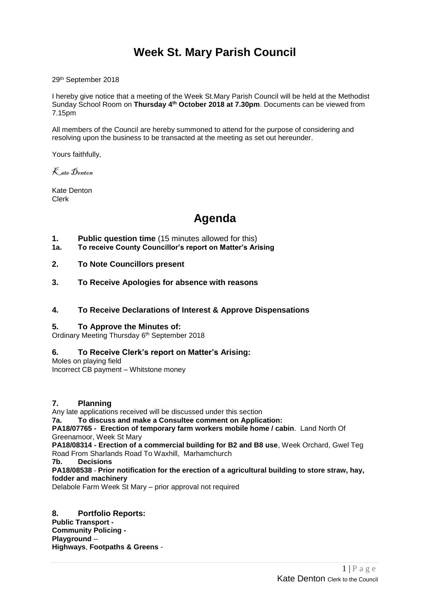# **Week St. Mary Parish Council**

29th September 2018

I hereby give notice that a meeting of the Week St.Mary Parish Council will be held at the Methodist Sunday School Room on **Thursday 4 th October 2018 at 7.30pm**. Documents can be viewed from 7.15pm

All members of the Council are hereby summoned to attend for the purpose of considering and resolving upon the business to be transacted at the meeting as set out hereunder.

Yours faithfully,

Kate Denton

Kate Denton Clerk

# **Agenda**

- **1. Public question time** (15 minutes allowed for this)
- **1a. To receive County Councillor's report on Matter's Arising**
- **2. To Note Councillors present**
- **3. To Receive Apologies for absence with reasons**
- **4. To Receive Declarations of Interest & Approve Dispensations**

#### **5. To Approve the Minutes of:**

Ordinary Meeting Thursday 6<sup>th</sup> September 2018

### **6. To Receive Clerk's report on Matter's Arising:**

Moles on playing field Incorrect CB payment – Whitstone money

#### **7. Planning**

Any late applications received will be discussed under this section **7a. To discuss and make a Consultee comment on Application: PA18/07765 - Erection of temporary farm workers mobile home / cabin**. Land North Of Greenamoor, Week St Mary **PA18/08314 - Erection of a commercial building for B2 and B8 use**, Week Orchard, Gwel Teg Road From Sharlands Road To Waxhill, Marhamchurch **7b. Decisions PA18/08538** - **[Prior notification for the erection of a agricultural building to store straw, hay,](http://planning.cornwall.gov.uk/online-applications/applicationDetails.do?keyVal=PBN6E5FG1TN00&activeTab=summary)  [fodder and machinery](http://planning.cornwall.gov.uk/online-applications/applicationDetails.do?keyVal=PBN6E5FG1TN00&activeTab=summary)** Delabole Farm Week St Mary – prior approval not required

**8. Portfolio Reports: Public Transport - Community Policing - Playground** – **Highways**, **Footpaths & Greens** -